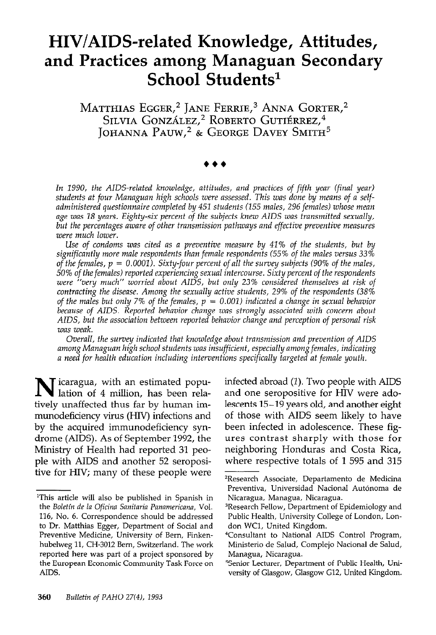# HIV/AIDS-related Knowledge, Attitudes, and Practices among Managuan Secondary School Students<sup>1</sup>

MATTHIAS EGGER,<sup>2</sup> JANE FERRIE,<sup>3</sup> ANNA GORTER,<sup>2</sup> Silvia González,<sup>2</sup> Roberto Gutiérrez,<sup>4</sup> JOHANNA PAUW,<sup>2</sup> & George Davey Smith<sup>3</sup>

In 1990, the AIDS-related knowledge, attitudes, and practices of fifth year (final year) students at four Managuan high schools were assessed. This was done by means of a selfadminisfered questionnaire complefed by 451 students (155 males, 296 females) whose mean age was 18 years. Eighty-six percent of the subjects knew AIDS was transmitted sexually, but the percentages aware of other transmission pathways and effective preventive measures were much lower.

Use of condoms was cited as a preventive measure by 41% of the students, but by significantly more male respondents than female respondenfs (55% of the males versus 33% of the females,  $p = 0.0001$ . Sixty-four percent of all the survey subjects (90% of the males, 50% of the females) reported experiencing sexual intercourse. Sixty percent of fhe respondents were "very much" worried about AIDS, but only 23% considered themselves at risk of contracting the disease. Among the sexually active students, 29% of the respondents (38% of the males but only 7% of the females,  $p = 0.001$ ) indicated a change in sexual behavior because of AIDS. Reported behavior change was strongly associated with concern about AIDS, but fhe association between reported behavior change and perception of personal risk was weak.

Overall, fhe survey indicated that knowledge about transmission and prevention of AIDS among Managuan high school students was insufficient, especially among females, indicating a need for health education including interventions specifically fargeted at female youth.

 $\mathbf N$  icaragua, with an estimated population of 4 million, has been relatively unaffected thus far by human immunodeficiency virus (HIV) infections and by the acquired immunodeficiency syndrome (AIDS). As of September 1992, the Ministry of Health had reported 31 people with AIDS and another 52 seropositive for HIV; many of these people were infected abroad (1). Two people with AIDS and one seropositive for HIV were adolescents 15-19 years old, and another eight of those with AIDS seem likely to have been infected in adolescence. These figures contrast sharply with those for neighboring Honduras and Costa Rica, where respective totals of 1 595 and 315

<sup>&#</sup>x27;This article will also be published in Spanish in the Boletin de la Oficina Sanitaria Panamericana, Vol. 116, No. 6. Correspondence should be addressed to Dr. Matthias Egger, Department of Social and Preventive Medicine, University of Bern, Finkenhubelweg 11, CH-3012 Bern, Switzerland. The work reported here was part of a project sponsored by the European Economic Community Task Force on AIDS.

<sup>2</sup>Research Associate, Departamento de Medicina Preventiva, Universidad Nacional Autónoma de Nicaragua, Managua, Nicaragua.

<sup>3</sup>Research Fellow, Department of Epidemiology and Public Health, University College of London, London WCl, United Kingdom.

<sup>\*</sup>Consultant to National AIDS Control Program, Ministerio de Salud, Complejo Nacional de Salud, Managua, Nicaragua.

<sup>5</sup>Senior Lecturer, Department of Public Health, University of Glasgow, Glasgow G12, United Kingdom.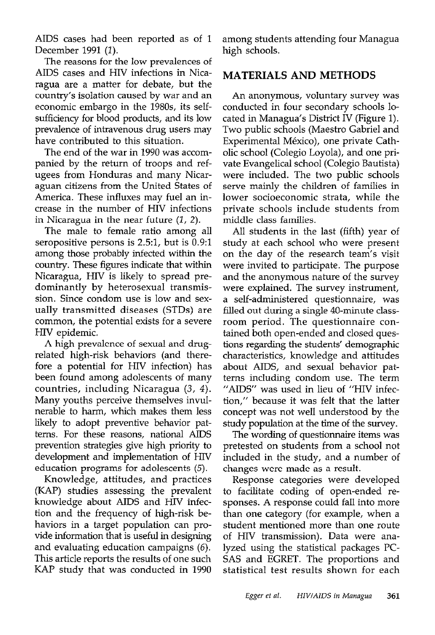AIDS cases had been reported as of 1 December 1991 (1).

The reasons for the low prevalences of AIDS cases and HIV infections in Nicaragua are a matter for debate, but the country's isolation caused by war and an economic embargo in the 198Os, its selfsufficiency for blood products, and its low prevalence of intravenous drug users may have contributed to this situation.

The end of the war in 1990 was accompanied by the return of troops and refugees from Honduras and many Nicaraguan citizens from the United States of America. These influxes may fuel an increase in the number of HIV infections in Nicaragua in the near future  $(1, 2)$ .

The male to female ratio among all seropositive persons is 2.5:1, but is 0.9:1 among those probably infected within the country. These figures indicate that within Nicaragua, HIV is likely to spread predominantly by heterosexual transmission. Since condom use is low and sexually transmitted diseases (STDs) are common, the potential exists for a severe HIV epidemic.

A high prevalence of sexual and drugrelated high-risk behaviors (and therefore a potential for HIV infection) has been found among adolescents of many countries, including Nicaragua (3, 4). Many youths perceive themselves invulnerable to harm, which makes them less likely to adopt preventive behavior patterns. For these reasons, national AIDS prevention strategies give high priority to development and implementation of HIV education programs for adolescents (5).

Knowledge, attitudes, and practices (KAP) studies assessing the prevalent knowledge about AIDS and HIV infection and the frequency of high-risk behaviors in a target population can provide information that is useful in designing and evaluating education campaigns (6). This article reports the results of one such KAP study that was conducted in 1990

among students attending four Managua high schools.

### MATERIALS AND METHODS

An anonymous, voluntary survey was conducted in four secondary schools located in Managua's District IV (Figure 1). Two public schools (Maestro Gabriel and Experimental México), one private Catholic school (Colegio Loyola), and one private Evangelical school (Colegio Bautista) were included. The two public schools serve mainly the children of families in lower socioeconomic strata, while the private schools include students from middle class families.

All students in the last (fifth) year of study at each school who were present on the day of the research team's visit were invited to participate. The purpose and the anonymous nature of the survey were explained. The survey instrument, a self-administered questionnaire, was filled out during a single 40-minute classroom period. The questionnaire contained both open-ended and closed questions regarding the students' demographic characteristics, knowledge and attitudes about AIDS, and sexual behavior patterns including condom use. The term "AIDS" was used in lieu of "HIV infection," because it was felt that the latter concept was not we11 understood by the study population at the time of the survey.

The wording of questionnaire items was pretested on students from a school not included in the study, and a number of changes were made as a result.

Response categories were developed to facilitate coding of open-ended responses. A response could fall into more than one category (for example, when a student mentioned more than one route of HIV transmission). Data were analyzed using the statistical packages PC-SAS and EGRET. The proportions and statistical test results shown for each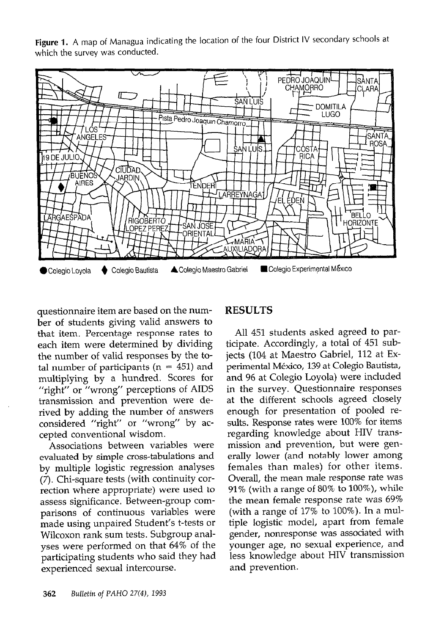Figure 1. A map of Managua indicating the location of the four District IV secondary schools at which the survey was conducted.



questionnaire item are based on the number of students giving valid answers to that item. Percentage response rates to each item were determined by dividing the number of valid responses by the total number of participants ( $n = 451$ ) and multiplying by a hundred. Scores for "right" or "wrong" perceptions of AIDS transmission and prevention were derived by adding the number of answers considered "right" or "wrong" by accepted conventional wisdom.

Associations between variables were evaluated by simple cross-tabulations and by multiple logistic regression analyses (7). Chi-square tests (with continuity correction where appropriate) were used to assess significance. Between-group comparisons of continuous variables were made using unpaired Student's t-tests or Wilcoxon rank sum tests. Subgroup analyses were performed on that 64% of the participating students who said they had experienced sexual intercourse.

### RESULTS

All 451 students asked agreed to participate. Accordingly, a total of 451 subjects (104 at Maestro Gabriel, 112 at Experimental Mexico, 139 at Colegio Bautista, and 96 at Colegio Loyola) were included in the survey. Questionnaire responses at the different schools agreed closely enough for presentation of pooled results. Response rates were 100% for items regarding knowledge about HIV transmission and prevention, but were generally lower (and notably lower among females than males) for other items. Overall, the mean male response rate was  $91\%$  (with a range of  $80\%$  to  $100\%$ ), while the mean female response rate was 69% (with a range of 17% to 100%). In a multiple logistic model, apart from female gender, nonresponse was associated with younger age, no sexual experience, and less knowledge about HIV transmission and prevention.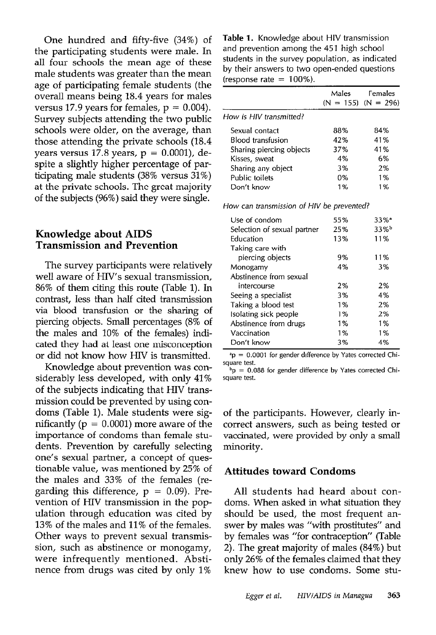One hundred and fifty-five (34%) of the participating students were male. In all four schools the mean age of these male students was greater than the mean age of participating female students (the overall means being 18.4 years for males versus 17.9 years for females,  $p = 0.004$ . Survey subjects attending the two public schools were older, on the average, than those attending the private schools (18.4 years versus 17.8 years,  $p = 0.0001$ ), despite a slightly higher percentage of participating male students (38% versus 31%) at the private schools. The great majority of the subjects (96%) said they were single.

#### Knowledge about AIDS Transmission and Prevention

The survey participants were relatively well aware of HIV's sexual transmission, 86% of them citing this route (Table 1). In contrast, less than half cited transmission via blood transfusion or the sharing of piercing objects. Small percentages (8% of the males and 10% of the females) indicated they had at least one misconception or did not know how HIV is transmitted.

Knowledge about prevention was considerably less developed, with only 41% of the subjects indicating that HIV transmission could be prevented by using condoms (Table 1). Male students were significantly ( $p = 0.0001$ ) more aware of the importance of condoms than female students. Prevention by carefully selecting one's sexual partner, a concept of questionable value, was mentioned by 25% of the males and 33% of the females (regarding this difference,  $p = 0.09$ ). Prevention of HIV transmission in the population through education was cited by 13% of the males and 11% of the females. Other ways to prevent sexual transmission, such as abstinence or monogamy, were infrequently mentioned. Abstinence from drugs was cited by only 1%

Table 1. Knowledge about HIV transmission and prevention among the 451 high school students in the survey population, as indicated by their answers to two open-ended questions (response rate  $= 100\%$ ).

|                                           | Males | Females<br>$(N = 155)$ $(N = 296)$ |
|-------------------------------------------|-------|------------------------------------|
| How is HIV transmitted?                   |       |                                    |
| Sexual contact                            | 88%   | 84%                                |
| Blood transfusion                         | 42%   | 41%                                |
| Sharing piercing objects                  | 37%   | 41%                                |
| Kisses, sweat                             | 4%    | 6%                                 |
|                                           | 3%    | 2%                                 |
| Sharing any object                        |       |                                    |
| Public toilets                            | 0%    | 1%                                 |
| Don't know                                | 1%    | 1%                                 |
| How can transmission of HIV be prevented? |       |                                    |
| Use of condom                             | 55%   | $33%$ <sup>a</sup>                 |
| Selection of sexual partner               | 25%   | 33%                                |
| Education                                 | 13%   | 11%                                |
| Taking care with                          |       |                                    |
| piercing objects                          | 9%    | 11%                                |
| Monogamy                                  | 4%    | 3%                                 |
| Abstinence from sexual                    |       |                                    |
| intercourse                               | 2%    | 2%                                 |
| Seeing a specialist                       | 3%    | 4%                                 |
| Taking a blood test                       | 1%    | 2%                                 |
| Isolating sick people                     | 1%    | 2%                                 |
| Abstinence from drugs                     | 1%    | 1%                                 |
| Vaccination                               | 1%    | 1%                                 |
| Don't know                                | 3%    | 4%                                 |
|                                           |       |                                    |

 $p = 0.0001$  for gender difference by Yates corrected Chisquare test.

 $b_p = 0.088$  for gender difference by Yates corrected Chisquare test.

of the participants. However, clearly incorrect answers, such as being tested or vaccinated, were provided by only a small minority.

#### Attitudes toward Condoms

All students had heard about condoms. When asked in what situation they should be used, the most frequent answer by males was "with prostitutes" and by females was "for contraception" (Table 2). The great majority of males (84%) but only 26% of the females claimed that they knew how to use condoms. Some stu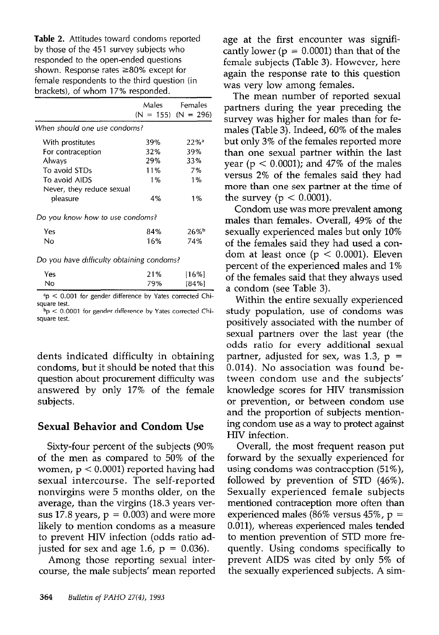Table 2. Attitudes toward condoms reported by those of the 451 survey subjects who responded to the open-ended questions shown. Response rates  $\geq 80\%$  except for female respondents to the third question (in brackets), of whom 17% responded.

|                                 | Males | Females<br>$(N = 155)$ $(N = 296)$ |
|---------------------------------|-------|------------------------------------|
| When should one use condoms?    |       |                                    |
| With prostitutes                | 39%   | 22%                                |
| For contraception               | 32%   | 39%                                |
| Always                          | 29%   | 33%                                |
| To avoid STDs                   | 11%   | 7%                                 |
| To avoid AIDS                   | 1%    | 1%                                 |
| Never, they reduce sexual       |       |                                    |
| pleasure                        | 4%    | 1%                                 |
| Do you know how to use condoms? |       |                                    |
| Yes                             | 84%   | 26%                                |
| Nο                              | 16%   | 74%                                |
|                                 |       |                                    |

Do you have difficulty obtaining condoms?

| No<br>79% | [16%]          |
|-----------|----------------|
| -----     | [84%]<br>----- |

 $n<sub>p</sub> < 0.001$  for gender difference by Yates corrected Chisquare test.

 $b<sub>p</sub>$  < 0.0001 for gender difference by Yates corrected Chisquare test.

dents indicated difficulty in obtaining condoms, but it should be noted that this question about procurement difficulty was answered by only 17% of the female subjects.

#### Sexual Behavior and Condom Use

Sixty-four percent of the subjects (90% of the men as compared to 50% of the women,  $p < 0.0001$ ) reported having had sexual intercourse. The self-reported nonvirgins were 5 months older, on the average, than the virgins (18.3 years versus 17.8 years,  $p = 0.003$  and were more likely to mention condoms as a measure to prevent HIV infection (odds ratio adjusted for sex and age 1.6,  $p = 0.036$ .

Among those reporting sexual intercourse, the male subjects' mean reported age at the first encounter was significantly lower ( $p = 0.0001$ ) than that of the female subjects (Table 3). However, here again the response rate to this question was very low among females.

The mean number of reported sexual partners during the year preceding the survey was higher for males than for females (Table 3). Indeed, 60% of the males but only 3% of the females reported more than one sexual partner within the last year ( $p < 0.0001$ ); and 47% of the males versus 2% of the females said they had more than one sex partner at the time of the survey ( $p < 0.0001$ ).

Condom use was more prevalent among males than females. Overall, 49% of the sexually experienced males but only 10% of the females said they had used a condom at least once  $(p < 0.0001)$ . Eleven percent of the experienced males and 1% of the females said that they always used a condom (see Table 3).

Within the entire sexually experienced study population, use of condoms was positively associated with the number of sexual partners over the last year (the odds ratio for every additional sexual partner, adjusted for sex, was  $1.3$ ,  $p =$ 0.014). No association was found between condom use and the subjects' knowledge scores for HIV transmission or prevention, or between condom use and the proportion of subjects mentioning condom use as a way to protect against HIV infection.

Overall, the most frequent reason put forward by the sexually experienced for using condoms was contraception (51%), followed by prevention of STD (46%). Sexually experienced female subjects mentioned contraception more often than experienced males (86% versus 45%,  $p =$ O.Oll), whereas experienced males tended to mention prevention of STD more frequently. Using condoms specifically to prevent AIDS was cited by only 5% of the sexually experienced subjects. A sim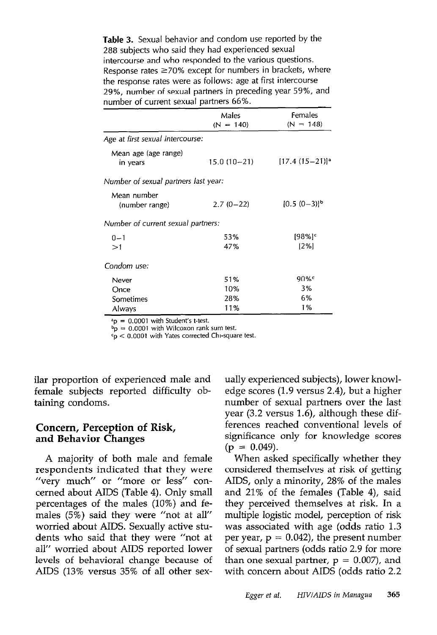Table 3. Sexual behavior and condom use reported by the 288 subjects who said they had experienced sexual intercourse and who responded to the various questions. Response rates  $\geq 70\%$  except for numbers in brackets, where the response rates were as follows: age at first intercourse 29%, number of sexual partners in preceding year 59%, and number of current sexual partners 66%.

|                                      | Males<br>$(N = 140)$ | Females<br>$(N = 148)$          |
|--------------------------------------|----------------------|---------------------------------|
| Age at first sexual intercourse:     |                      |                                 |
| Mean age (age range)<br>in years     | $15.0(10-21)$        | $[17.4 (15 - 21)]$ <sup>a</sup> |
| Number of sexual partners last year: |                      |                                 |
| Mean number<br>(number range)        | $2.7(0-22)$          | $[0.5 (0-3)]^b$                 |
| Number of current sexual partners:   |                      |                                 |
| $0 - 1$<br>>1                        | 53%<br>47%           | $[98%]$ <sup>c</sup><br>12%1    |
| Condom use:                          |                      |                                 |
| Never                                | 51%                  | 90%                             |
| Once                                 | 10%                  | 3%                              |
| Sometimes                            | 28%                  | 6%                              |
| Always                               | 11%                  | 1%                              |

 $a_{\rm p} = 0.0001$  with Student's t-test.

 $b_p = 0.0001$  with Wilcoxon rank sum test.

 $c_p < 0.0001$  with Yates corrected Chi-square test.

ilar proportion of experienced male and female subjects reported difficulty obtaining condoms.

#### Concern, Perception of Risk, and Behavior Changes

A majority of both male and female respondents indicated that they were "very much" or "more or less" concerned about AIDS (Table 4). Only small percentages of the males (10%) and females (5%) said they were "not at all" worried about AIDS. Sexually active students who said that they were "not at all" worried about AIDS reported lower levels of behavioral change because of AIDS (13% versus 35% of all other sex-

ually experienced subjects), lower knowledge scores (1.9 versus 2.4), but a higher number of sexual partners over the Iast year (3.2 versus 1.6), although these differences reached conventional levels of significance only for knowledge scores  $(p = 0.049)$ .

When asked specifically whether they considered themselves at risk of getting AIDS, only a minority, 28% of the males and 21% of the females (Table 4), said they perceived themselves at risk. In a multipIe logistic model, perception of risk was associated with age (odds ratio 1.3 per year,  $p = 0.042$ ), the present number of sexual partners (odds ratio 2.9 for more than one sexual partner,  $p = 0.007$ , and with concern about AIDS (odds ratio 2.2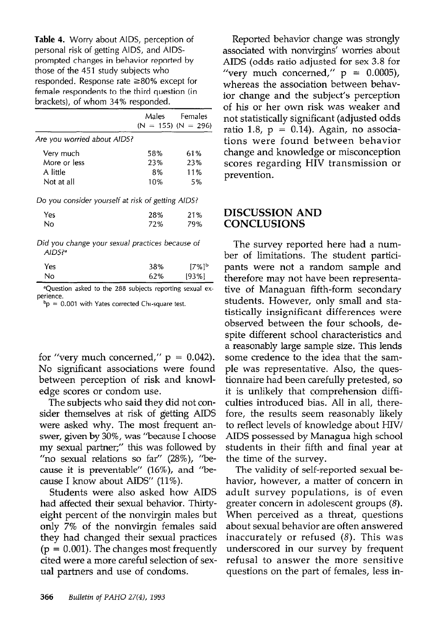Table 4. Worry about AIDS, perception of personal risk of getting AIDS, and AIDSprompted changes in behavior reported by those of the 451 study subjects who responded. Response rate  $\geq 80\%$  except for female respondents to the third question (in brackets), of whom 34% responded.

|                                                                                                                                                                                                                                |     | Males Females<br>$(N = 155)$ $(N = 296)$ |
|--------------------------------------------------------------------------------------------------------------------------------------------------------------------------------------------------------------------------------|-----|------------------------------------------|
| Are you worried about AIDS?                                                                                                                                                                                                    |     |                                          |
| Verv much                                                                                                                                                                                                                      | 58% | 61%                                      |
| More or less                                                                                                                                                                                                                   | 23% | 23%                                      |
| A little                                                                                                                                                                                                                       | 8%  | 11%                                      |
| Not at all                                                                                                                                                                                                                     | 10% | 5%                                       |
| Do you consider yourself at risk of getting AIDS?                                                                                                                                                                              |     |                                          |
| Yes                                                                                                                                                                                                                            | 28% | 21%                                      |
| No                                                                                                                                                                                                                             | 72% | 79%                                      |
| mathematic contract and the contract of the contract of the contract of the contract of the contract of the contract of the contract of the contract of the contract of the contract of the contract of the contract of the co |     |                                          |

Did you change your sexual practices because of AIDS?

| No  | 62% | [93%]               |
|-----|-----|---------------------|
| Yes | 38% | $17\%$ <sup>b</sup> |
|     |     |                     |

aQuestion asked to the 288 subjects reporting sexual experience.

 $b$ p = 0.001 with Yates corrected Chi-square test.

for "very much concerned,"  $p = 0.042$ ). No significant associations were found between perception of risk and knowledge scores or condom use.

The subjects who said they did not consider themselves at risk of getting AIDS were asked why. The most frequent answer, given by 30%, was 'because I choose my sexual partner;" this was followed by "no sexual relations so far" (28%), "because it is preventable" (16%), and "because I know about AIDS" (11%).

Students were also asked how AIDS had affected their sexual behavior. Thirtyeight percent of the nonvirgin males but only 7% of the nonvirgin females said they had changed their sexual practices  $(p = 0.001)$ . The changes most frequently cited were a more careful selection of sexual partners and use of condoms.

Reported behavior change was strongly associated with nonvirgins' worries about AIDS (odds ratio adjusted for sex 3.8 for "very much concerned,"  $p = 0.0005$ ), whereas the association between behavior change and the subject's perception of his or her own risk was weaker and not statistically significant (adjusted odds ratio 1.8,  $p = 0.14$ ). Again, no associations were found between behavior change and knowledge or misconception scores regarding HIV transmission or prevention.

#### DISCUSSION AND **CONCLUSIONS**

The survey reported here had a number of limitations. The student participants were not a random sample and therefore may not have been representative of Managuan fifth-form secondary students. However, only small and statistically insignificant differences were observed between the four schools, despite different school characteristics and a reasonably large sample size. This lends some credence to the idea that the sample was representative. Also, the questionnaire had been carefully pretested, so it is unlikely that comprehension difficulties introduced bias. Al1 in all, therefore, the results seem reasonably likely to reflect levels of knowledge about HIV/ AIDS possessed by Managua high school students in their fifth and final year at the time of the survey.

The validity of self-reported sexual behavior, however, a matter of concern in adult survey populations, is of even greater concern in adolescent groups (8). When perceived as a threat, questions about sexual behavior are often answered inaccurately or refused (8). This was underscored in our survey by frequent refusal to answer the more sensitive questions on the part of females, less in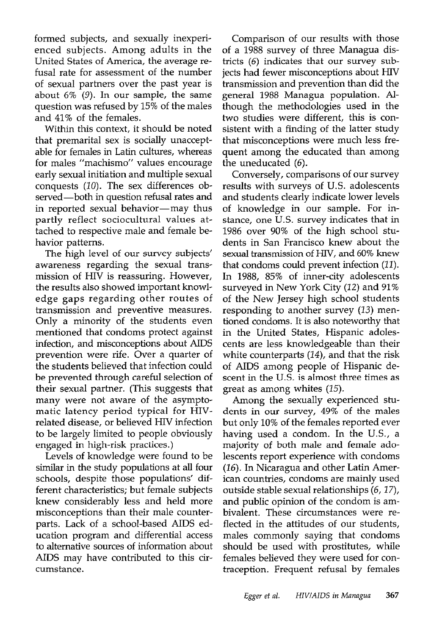formed subjects, and sexually inexperienced subjects. Among adults in the United States of America, the average refusal rate for assessment of the number of sexual partners over the past year is about 6% (9). In our sample, the same question was refused by 15% of the males and 41% of the females.

Within this context, it should be noted that premarital sex is socially unacceptable for females in Latin cultures, whereas for males "machismo" values encourage early sexual initiation and multiple sexual conquests (10). The sex differences observed-both in question refusal rates and in reported sexual behavior-may thus partly reflect sociocultural values attached to respective male and female behavior patterns.

The high level of our survey subjects' awareness regarding the sexual transmission of HIV is reassuring. However, the results also showed important knowledge gaps regarding other routes of transmission and preventive measures. Only a minority of the students even mentioned that condoms protect against infection, and misconceptions about AIDS prevention were rife. Over a quarter of the students believed that infection could be prevented through careful selection of their sexual partner. (This suggests that many were not aware of the asymptomatic latency period typical for HIVrelated disease, or believed HIV infection to be largely limited to people obviously engaged in high-risk practices.)

Levels of knowledge were found to be similar in the study populations at all four schools, despite those populations' different characteristics; but female subjects knew considerably less and held more misconceptions than their male counterparts. Lack of a school-based AIDS education program and differential access to alternative sources of information about AIDS may have contributed to this circumstance .

Comparison of our results with those of a 1988 survey of three Managua districts (6) indicates that our survey subjects had fewer misconceptions about HIV transmission and prevention than did the general 1988 Managua population. Although the methodologies used in the two studies were different, this is consistent with a finding of the latter study that misconceptions were much less frequent among the educated than among the uneducated (6).

Conversely, comparisons of our survey results with surveys of U.S. adolescents and students clearly indicate lower levels of knowledge in our sample. For instance, one U.S. survey indicates that in 1986 over 90% of the high school students in San Francisco knew about the sexual transmission of HlV, and 60% knew that condoms could prevent infection (II). In 1988, 85% of inner-city adolescents surveyed in New York City (12) and 91% of the New Jersey high school students responding to another survey (13) mentioned condoms. It is also noteworthy that in the United States, Hispanic adoIescents are less knowledgeable than their white counterparts (14), and that the risk of AIDS among people of Hispanic descent in the U.S. is almost three times as great as among whites (15).

Among the sexually experienced students in our survey, 49% of the males but only 10% of the females reported ever having used a condom. In the U.S., a majority of both male and female adolescents report experience with condoms (26). In Nicaragua and other Latin American countries, condoms are mainly used outside stable sexual relationships (6,17), and public opinion of the condom is ambivalent. These circumstances were reflected in the attitudes of our students, males commonly saying that condoms should be used with prostitutes, while females believed they were used for contraception. Frequent refusal by females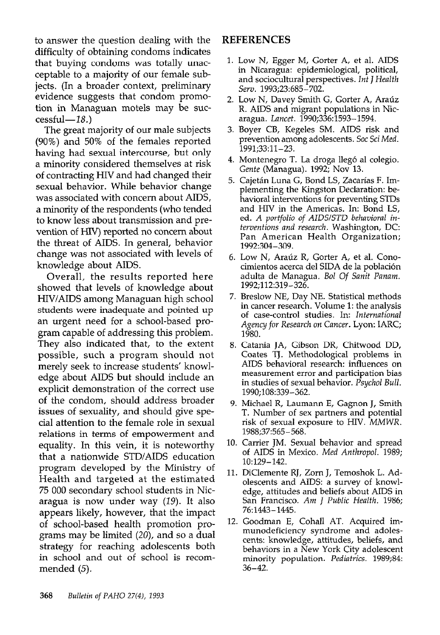to answer the question dealing with the difficulty of obtaining condoms indicates that buying condoms was totally unacceptable to a majority of our female subjects. (In a broader context, preliminary evidence suggests that condom promotion in Managuan motels may be suc $cesful-18.$ )

The great majority of our male subjects (90%) and 50% of the females reported having had sexual intercourse, but only a minority considered themselves at risk of contracting HIV and had changed their sexual behavior. While behavior change was associated with concern about AIDS, a minority of the respondents (who tended to know less about transmission and prevention of HIV) reported no concern about the threat of AIDS. In general, behavior change was not associated with levels of knowledge about AIDS.

Overall, the results reported here showed that levels of knowledge about HIV/AIDS among Managuan high school students were inadequate and pointed up an urgent need for a school-based program capable of addressing this problem. They also indicated that, to the extent possible, such a program should not merely seek to increase students' knowledge about AIDS but should include an explicit demonstration of the correct use of the condom, should address broader issues of sexuality, and should give special attention to the female role in sexual relations in terms of empowerment and equality. In this vein, it is noteworthy that a nationwide STD/AIDS education program developed by the Ministry of Health and targeted at the estimated 75 000 secondary school students in Nicaragua is now under way (19). It also appears likely, however, that the impact of school-based health promotion programs may be limited  $(20)$ , and so a dual strategy for reaching adolescents both in school and out of school is recommended (5).

#### REFERENCES

- 1. Low N, Egger M, Gorter A, et al. AIDS n Nicaragua: epidemiological, political, and sociocultural perspectives. Int J Health Serv. 1993;23:685-702.
- 2. Low N, Davey Smith G, Gorter A, Araúz R. AIDS and migrant populations in Nicaragua. Lancet. 1990;336:1593-1594.
- 3. Boyer CB, Kegeles SM. AIDS risk and prevention among adolescents. Soc Sci Med. 1991;33:11-23.
- 4. Montenegro T. La droga llegó al colegio Gente (Managua). 1992; Nov 13.
- 5. Cajetán Luna G, Bond LS, Zacarías F. Im plementing the Kingston Declaration: behavioral interventions for preventing STDs and HIV in the Americas. In: Bond LS, ed. A portfolio of AIDSISTD behavioral interventions and research. Washington, DC: Pan American Health Organization; 1992:304-309.
- 6. Low N, Aratiz R, Gorter A, et al. Conocimientos acerca de1 SIDA de la poblaci6n adulta de Managua. Bol Of Sanit Panam. 1992;112:319-326.
- 7. Breslow NE, Day NE. Statistical methods in cancer research. Volume 1: the analysis of case-control studies. In: International Agency for Research on Cancer. Lyon: IARC; 1980.
- 8. Catania JA, Gibson DR, Chitwood DD, Coates TJ. Methodological problems in AIDS behavioral research: influences on measurement error and participation bias in studies of sexual behavior. Psychol Bull. 1990;108:339-362.
- 9. Michael R, Laumann E, Gagnon J, Smith T. Number of sex partners and potential risk of sexual exposure to HIV. MMWR. 1988;37:565-568.
- 10. Carrier JM. Sexual behavior and spread of AIDS in Mexico. Med Anthropol. 1989; 10:129-142.
- 11. DiClemente RJ, Zorn J, Temoshok L. Adolescents and AIDS: a survey of knowledge, attitudes and beliefs about AIDS in San Francisco. Am J Public Health. 1986; 76:1443-1445.
- 12. Goodman E, Cohall AT. Acquired immunodeficiency syndrome and adolescents: knowledge, attitudes, beliefs, and behaviors in a New York City adolescent minority population. Pediatrics. 1989;84: 36-42.